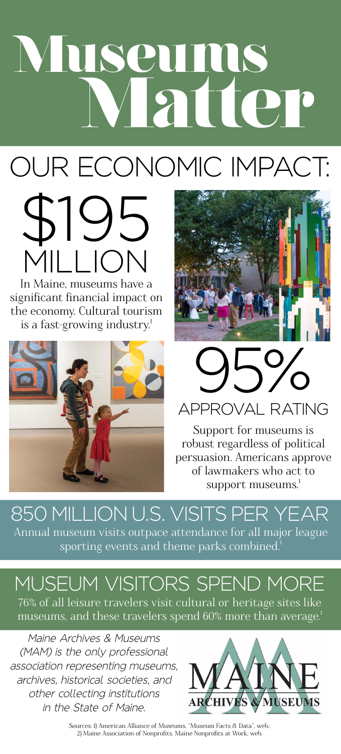# Museums **Valler**

## OUR ECONOMIC IMPACT:



In Maine, museums have a significant financial impact on the economy. Cultural tourism is a fast-growing industry.<sup>1</sup>





### APPROVAL RATING  $95\%$

Support for museums is robust regardless of political persuasion. Americans approve of lawmakers who act to support museums.<sup>1</sup>

#### 850 MILLION U.S. VISITS PER YEAR Annual museum visits outpace attendance for all major league sporting events and theme parks combined.<sup>1</sup>

#### MUSEUM VISITORS SPEND MORE

76% of all leisure travelers visit cultural or heritage sites like museums, and these travelers spend 60% more than average.<sup>1</sup>

Maine Archives & Museums (MAM) is the only professional association representing museums, archives, historical societies, and other collecting institutions in the State of Maine.



Sources: 1) American Alliance of Museums, "Museum Facts & Data", web.; 2) Maine Association of Nonprofits, Maine Nonprofits at Work, web.